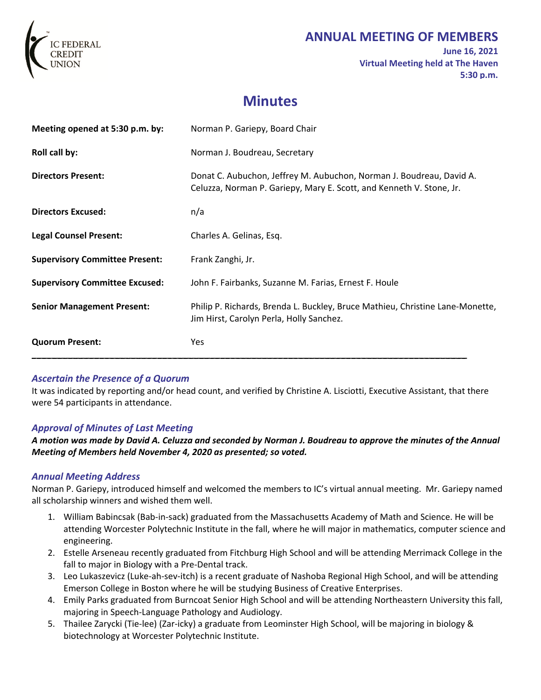

# **ANNUAL MEETING OF MEMBERS**

**June 16, 2021 Virtual Meeting held at The Haven 5:30 p.m.** 

# **Minutes**

| Meeting opened at 5:30 p.m. by:       | Norman P. Gariepy, Board Chair                                                                                                               |
|---------------------------------------|----------------------------------------------------------------------------------------------------------------------------------------------|
| Roll call by:                         | Norman J. Boudreau, Secretary                                                                                                                |
| <b>Directors Present:</b>             | Donat C. Aubuchon, Jeffrey M. Aubuchon, Norman J. Boudreau, David A.<br>Celuzza, Norman P. Gariepy, Mary E. Scott, and Kenneth V. Stone, Jr. |
| <b>Directors Excused:</b>             | n/a                                                                                                                                          |
| <b>Legal Counsel Present:</b>         | Charles A. Gelinas, Esq.                                                                                                                     |
| <b>Supervisory Committee Present:</b> | Frank Zanghi, Jr.                                                                                                                            |
| <b>Supervisory Committee Excused:</b> | John F. Fairbanks, Suzanne M. Farias, Ernest F. Houle                                                                                        |
| <b>Senior Management Present:</b>     | Philip P. Richards, Brenda L. Buckley, Bruce Mathieu, Christine Lane-Monette,<br>Jim Hirst, Carolyn Perla, Holly Sanchez.                    |
| <b>Quorum Present:</b>                | <b>Yes</b>                                                                                                                                   |

# *Ascertain the Presence of a Quorum*

It was indicated by reporting and/or head count, and verified by Christine A. Lisciotti, Executive Assistant, that there were 54 participants in attendance.

# *Approval of Minutes of Last Meeting*

*A motion was made by David A. Celuzza and seconded by Norman J. Boudreau to approve the minutes of the Annual Meeting of Members held November 4, 2020 as presented; so voted.* 

# *Annual Meeting Address*

Norman P. Gariepy, introduced himself and welcomed the members to IC's virtual annual meeting. Mr. Gariepy named all scholarship winners and wished them well.

- 1. William Babincsak (Bab-in-sack) graduated from the Massachusetts Academy of Math and Science. He will be attending Worcester Polytechnic Institute in the fall, where he will major in mathematics, computer science and engineering.
- 2. Estelle Arseneau recently graduated from Fitchburg High School and will be attending Merrimack College in the fall to major in Biology with a Pre-Dental track.
- 3. Leo Lukaszevicz (Luke-ah-sev-itch) is a recent graduate of Nashoba Regional High School, and will be attending Emerson College in Boston where he will be studying Business of Creative Enterprises.
- 4. Emily Parks graduated from Burncoat Senior High School and will be attending Northeastern University this fall, majoring in Speech-Language Pathology and Audiology.
- 5. Thailee Zarycki (Tie-lee) (Zar-icky) a graduate from Leominster High School, will be majoring in biology & biotechnology at Worcester Polytechnic Institute.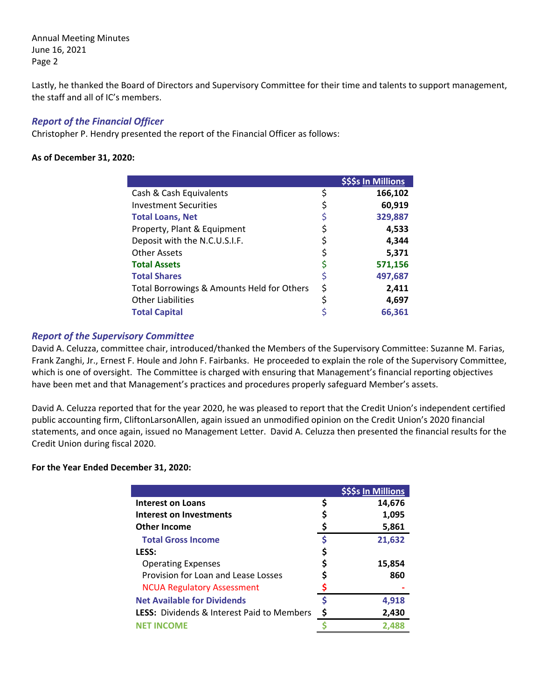Annual Meeting Minutes June 16, 2021 Page 2

Lastly, he thanked the Board of Directors and Supervisory Committee for their time and talents to support management, the staff and all of IC's members.

### *Report of the Financial Officer*

Christopher P. Hendry presented the report of the Financial Officer as follows:

#### **As of December 31, 2020:**

|                                            |    | \$\$\$s In Millions |
|--------------------------------------------|----|---------------------|
| Cash & Cash Equivalents                    | \$ | 166,102             |
| <b>Investment Securities</b>               | Ş  | 60,919              |
| <b>Total Loans, Net</b>                    | Ş  | 329,887             |
| Property, Plant & Equipment                |    | 4,533               |
| Deposit with the N.C.U.S.I.F.              |    | 4,344               |
| <b>Other Assets</b>                        | \$ | 5,371               |
| <b>Total Assets</b>                        |    | 571,156             |
| <b>Total Shares</b>                        | \$ | 497,687             |
| Total Borrowings & Amounts Held for Others | \$ | 2,411               |
| <b>Other Liabilities</b>                   | \$ | 4,697               |
| <b>Total Capital</b>                       |    | 66,361              |

#### *Report of the Supervisory Committee*

David A. Celuzza, committee chair, introduced/thanked the Members of the Supervisory Committee: Suzanne M. Farias, Frank Zanghi, Jr., Ernest F. Houle and John F. Fairbanks. He proceeded to explain the role of the Supervisory Committee, which is one of oversight. The Committee is charged with ensuring that Management's financial reporting objectives have been met and that Management's practices and procedures properly safeguard Member's assets.

David A. Celuzza reported that for the year 2020, he was pleased to report that the Credit Union's independent certified public accounting firm, CliftonLarsonAllen, again issued an unmodified opinion on the Credit Union's 2020 financial statements, and once again, issued no Management Letter. David A. Celuzza then presented the financial results for the Credit Union during fiscal 2020.

#### **For the Year Ended December 31, 2020:**

|                                                   |    | \$\$\$s In Millions |
|---------------------------------------------------|----|---------------------|
| <b>Interest on Loans</b>                          |    | 14,676              |
| Interest on Investments                           |    | 1,095               |
| <b>Other Income</b>                               |    | 5,861               |
| <b>Total Gross Income</b>                         | Ś  | 21,632              |
| <b>LESS:</b>                                      |    |                     |
| <b>Operating Expenses</b>                         |    | 15,854              |
| Provision for Loan and Lease Losses               |    | 860                 |
| <b>NCUA Regulatory Assessment</b>                 |    |                     |
| <b>Net Available for Dividends</b>                | \$ | 4,918               |
| <b>LESS:</b> Dividends & Interest Paid to Members | Ş  | 2,430               |
| <b>NET INCOMF</b>                                 |    | 2.488               |